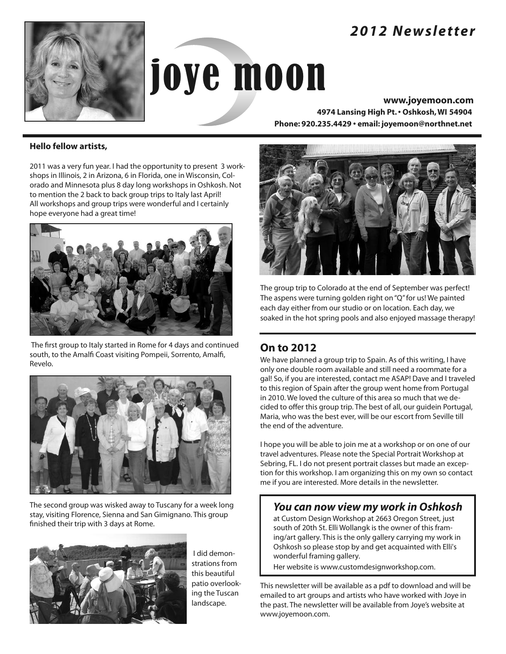# *2012 Newsletter*



# joye moon

**www.joyemoon.com 4974 Lansing High Pt.• Oshkosh,WI 54904 Phone: 920.235.4429 • email: joyemoon@northnet.net**

#### **Hello fellow artists,**

2011 was a very fun year. I had the opportunity to present 3 workshops in Illinois, 2 in Arizona, 6 in Florida, one in Wisconsin, Colorado and Minnesota plus 8 day long workshops in Oshkosh. Not to mention the 2 back to back group trips to Italy last April! All workshops and group trips were wonderful and I certainly hope everyone had a great time!



The first group to Italy started in Rome for 4 days and continued south, to the Amalfi Coast visiting Pompeii, Sorrento, Amalfi, Revelo.



The second group was wisked away to Tuscany for a week long stay, visiting Florence, Sienna and San Gimignano. This group finished their trip with 3 days at Rome.



I did demonstrations from this beautiful patio overlooking the Tuscan landscape.



The group trip to Colorado at the end of September was perfect! The aspens were turning golden right on"Q"for us! We painted each day either from our studio or on location. Each day, we soaked in the hot spring pools and also enjoyed massage therapy!

# **On to 2012**

We have planned a group trip to Spain. As of this writing, I have only one double room available and still need a roommate for a gal! So, if you are interested, contact me ASAP! Dave and I traveled to this region of Spain after the group went home from Portugal in 2010. We loved the culture of this area so much that we decided to offer this group trip. The best of all, our guidein Portugal, Maria, who was the best ever, will be our escort from Seville till the end of the adventure.

I hope you will be able to join me at a workshop or on one of our travel adventures. Please note the Special Portrait Workshop at Sebring, FL. I do not present portrait classes but made an exception for this workshop. I am organizing this on my own so contact me if you are interested. More details in the newsletter.

# *You can now view my work in Oshkosh*

at Custom Design Workshop at 2663 Oregon Street, just south of 20th St. Elli Wollangk is the owner of this framing/art gallery. This is the only gallery carrying my work in Oshkosh so please stop by and get acquainted with Elli's wonderful framing gallery.

Her website is www.customdesignworkshop.com.

This newsletter will be available as a pdf to download and will be emailed to art groups and artists who have worked with Joye in the past. The newsletter will be available from Joye's website at www.joyemoon.com.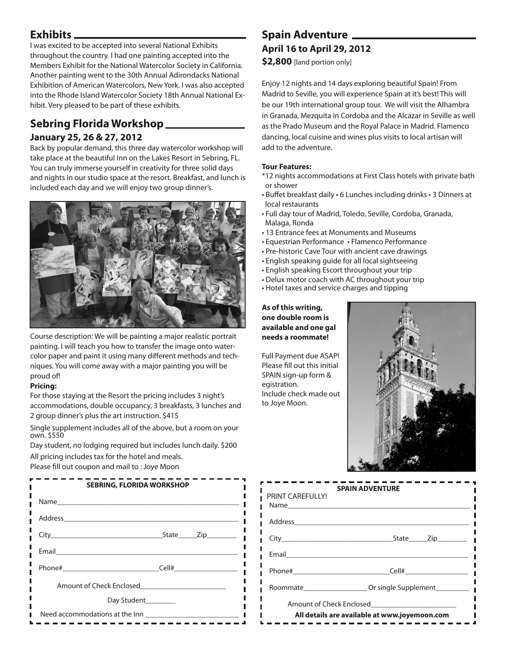## **Exhibits**

I was excited to be accepted into several National Exhibits throughout the country. I had one painting accepted into the Members Exhibit for the National Watercolor Society in California. Another painting went to the 30th Annual Adirondacks National Exhibition of American Watercolors, New York. I was also accepted into the Rhode Island Watercolor Society 18th Annual National Exhibit. Very pleased to be part of these exhibits.

# **Sebring Florida Workshop January 25, 26 & 27, 2012**

Back by popular demand, this three day watercolor workshop will take place at the beautiful Inn on the Lakes Resort in Sebring, FL. You can truly immerse yourself in creativity for three solid days and nights in our studio space at the resort. Breakfast, and lunch is included each day and we will enjoy two group dinner's.



Course description: We will be painting a major realistic portrait painting. I will teach you how to transfer the image onto watercolor paper and paint it using many different methods and techniques. You will come away with a major painting you will be proud of!

#### **Pricing:**

For those staying at the Resort the pricing includes 3 night's accommodations, double occupancy, 3 breakfasts, 3 lunches and 2 group dinner's plus the art instruction. \$415

Single supplement includes all of the above, but a room on your own. \$550

Day student, no lodging required but includes lunch daily. \$200

All pricing includes tax for the hotel and meals.

Please fill out coupon and mail to : Joye Moon

| <b>SEBRING, FLORIDA WORKSHOP</b> |           |  |
|----------------------------------|-----------|--|
|                                  |           |  |
|                                  |           |  |
|                                  | State Zip |  |
|                                  |           |  |
|                                  |           |  |
|                                  |           |  |
| Day Student                      |           |  |
| Need accommodations at the Inn   |           |  |

# **Spain Adventure April 16 to April 29, 2012**

**\$2,800** [land portion only]

Enjoy 12 nights and 14 days exploring beautiful Spain! From Madrid to Seville, you will experience Spain at it's best! This will be our 19th international group tour. We will visit the Alhambra in Granada, Mezquita in Cordoba and the Alcazar in Seville as well as the Prado Museum and the Royal Palace in Madrid. Flamenco dancing, local cuisine and wines plus visits to local artisan will add to the adventure.

#### **Tour Features:**

- \*12 nights accommodations at First Class hotels with private bath or shower
- Buffet breakfast daily 6 Lunches including drinks 3 Dinners at local restaurants
- Full day tour of Madrid, Toledo, Seville, Cordoba, Granada, Malaga, Ronda
- 13 Entrance fees at Monuments and Museums
- Equestrian Performance Flamenco Performance
- Pre-historic Cave Tour with ancient cave drawings
- English speaking guide for all local sightseeing
- English speaking Escort throughout your trip
- Delux motor coach with AC throughout your trip
- Hotel taxes and service charges and tipping

#### **As of this writing, one double room is available and one gal needs a roommate!**

Full Payment due ASAP! Please fill out this initial SPAIN sign-up form & egistration. Include check made out to Joye Moon.

П п П Ī П П П п

П п П П



| PRINT CARFFULLY!                              | <b>SPAIN ADVENTURE</b>                          |  |
|-----------------------------------------------|-------------------------------------------------|--|
|                                               |                                                 |  |
|                                               |                                                 |  |
|                                               |                                                 |  |
|                                               | Phone# Cell# Cell#                              |  |
|                                               | Roommate <b>Example 20</b> Or single Supplement |  |
| All details are available at www.joyemoon.com |                                                 |  |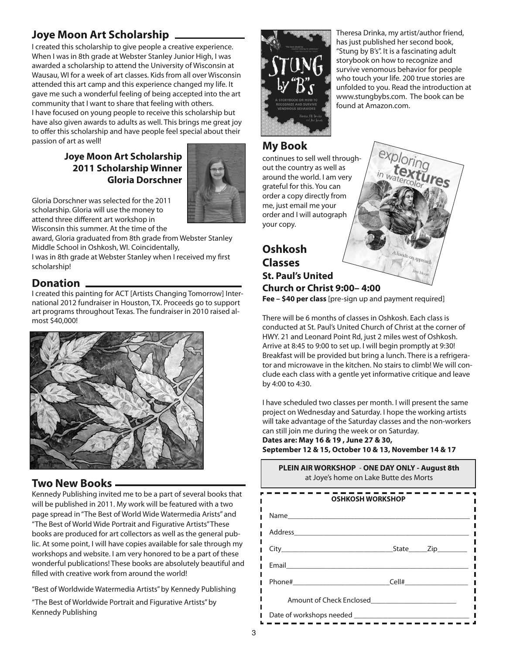# **Joye Moon Art Scholarship**

I created this scholarship to give people a creative experience. When I was in 8th grade at Webster Stanley Junior High, I was awarded a scholarship to attend the University of Wisconsin at Wausau, WI for a week of art classes. Kids from all over Wisconsin attended this art camp and this experience changed my life. It gave me such a wonderful feeling of being accepted into the art community that I want to share that feeling with others. I have focused on young people to receive this scholarship but have also given awards to adults as well. This brings me great joy to offer this scholarship and have people feel special about their passion of art as well!

## **Joye Moon Art Scholarship 2011 Scholarship Winner Gloria Dorschner**



Gloria Dorschner was selected for the 2011 scholarship. Gloria will use the money to attend three different art workshop in Wisconsin this summer. At the time of the

award, Gloria graduated from 8th grade from Webster Stanley Middle School in Oshkosh, WI. Coincidentally,

I was in 8th grade at Webster Stanley when I received my first scholarship!

## **Donation**

I created this painting for ACT [Artists Changing Tomorrow] International 2012 fundraiser in Houston, TX. Proceeds go to support art programs throughout Texas. The fundraiser in 2010 raised almost \$40,000!



# **Two New Books**

Kennedy Publishing invited me to be a part of several books that will be published in 2011. My work will be featured with a two page spread in"The Best of World Wide Watermedia Arists" and "The Best of World Wide Portrait and Figurative Artists"These books are produced for art collectors as well as the general public. At some point, I will have copies available for sale through my workshops and website. I am very honored to be a part of these wonderful publications! These books are absolutely beautiful and filled with creative work from around the world!

"Best of Worldwide Watermedia Artists"by Kennedy Publishing

"The Best of Worldwide Portrait and Figurative Artists"by Kennedy Publishing



Theresa Drinka, my artist/author friend, has just published her second book, "Stung by B's". It is a fascinating adult storybook on how to recognize and survive venomous behavior for people who touch your life. 200 true stories are unfolded to you. Read the introduction at www.stungbybs.com. The book can be found at Amazon.com.

# **My Book**

continues to sell well throughout the country as well as around the world. I am very grateful for this. You can order a copy directly from me, just email me your order and I will autograph your copy.

# **Oshkosh Classes St. Paul's United Church or Christ 9:00– 4:00**

**Fee – \$40 per class** [pre-sign up and payment required]

There will be 6 months of classes in Oshkosh. Each class is conducted at St. Paul's United Church of Christ at the corner of HWY. 21 and Leonard Point Rd, just 2 miles west of Oshkosh. Arrive at 8:45 to 9:00 to set up. I will begin promptly at 9:30! Breakfast will be provided but bring a lunch. There is a refrigerator and microwave in the kitchen. No stairs to climb! We will conclude each class with a gentle yet informative critique and leave by 4:00 to 4:30.

I have scheduled two classes per month. I will present the same project on Wednesday and Saturday. I hope the working artists will take advantage of the Saturday classes and the non-workers can still join me during the week or on Saturday.

**PLEIN AIR WORKSHOP** - **ONE DAY ONLY - August 8th**

**Dates are: May 16 & 19 , June 27 & 30, September 12 & 15, October 10 & 13, November 14 & 17**

| LEIN AIN WONNSHOP - ONE DAT ONLI - AUGUST OUT<br>at Joye's home on Lake Butte des Morts |           |  |
|-----------------------------------------------------------------------------------------|-----------|--|
| OSHKOSH WORKSHOP                                                                        |           |  |
| Name                                                                                    |           |  |
| Address                                                                                 |           |  |
| City <b>Contract Contract City</b>                                                      | State Zip |  |
| Email                                                                                   |           |  |
| Phone#                                                                                  | Cell#     |  |
| Amount of Check Enclosed                                                                |           |  |
| Date of workshops needed <b>Exercise 2018</b>                                           |           |  |